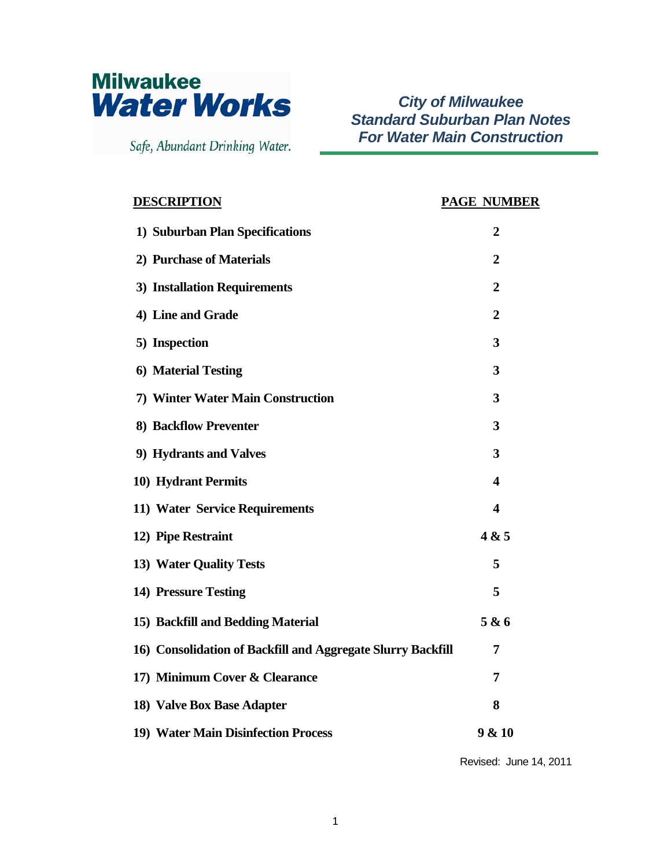

Safe, Abundant Drinking Water.

*City of Milwaukee Standard Suburban Plan Notes For Water Main Construction*

| <b>DESCRIPTION</b>                                          | <b>PAGE NUMBER</b> |
|-------------------------------------------------------------|--------------------|
| 1) Suburban Plan Specifications                             | $\overline{2}$     |
| 2) Purchase of Materials                                    | $\boldsymbol{2}$   |
| 3) Installation Requirements                                | $\boldsymbol{2}$   |
| 4) Line and Grade                                           | $\boldsymbol{2}$   |
| 5) Inspection                                               | 3                  |
| 6) Material Testing                                         | 3                  |
| 7) Winter Water Main Construction                           | 3                  |
| 8) Backflow Preventer                                       | 3                  |
| 9) Hydrants and Valves                                      | 3                  |
| 10) Hydrant Permits                                         | 4                  |
| 11) Water Service Requirements                              | 4                  |
| 12) Pipe Restraint                                          | 4 & 5              |
| 13) Water Quality Tests                                     | 5                  |
| 14) Pressure Testing                                        | 5                  |
| 15) Backfill and Bedding Material                           | 5 & 6              |
| 16) Consolidation of Backfill and Aggregate Slurry Backfill | 7                  |
| 17) Minimum Cover & Clearance                               | 7                  |
| 18) Valve Box Base Adapter                                  | 8                  |
| 19) Water Main Disinfection Process                         | 9 & 10             |

Revised: June 14, 2011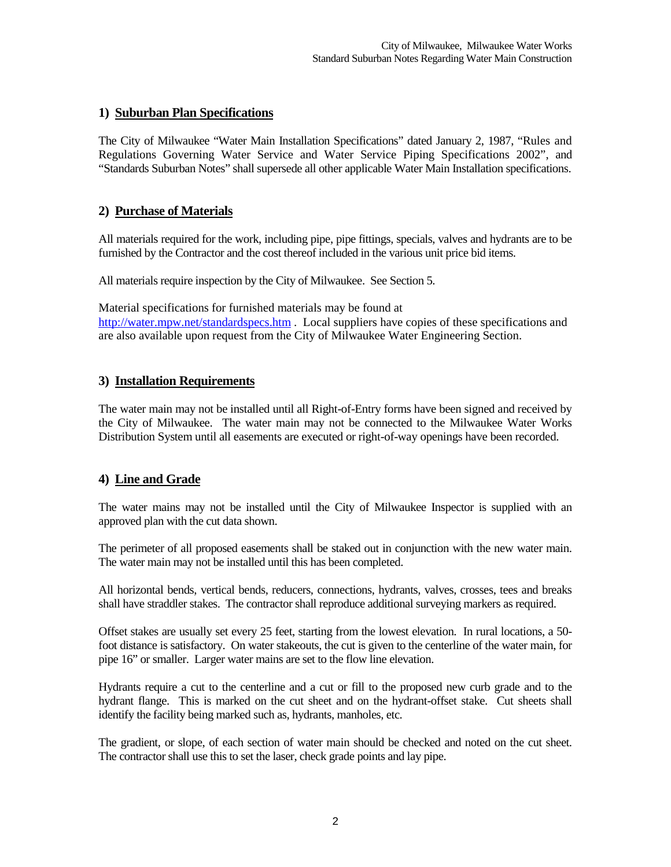## **1) Suburban Plan Specifications**

The City of Milwaukee "Water Main Installation Specifications" dated January 2, 1987, "Rules and Regulations Governing Water Service and Water Service Piping Specifications 2002", and "Standards Suburban Notes" shall supersede all other applicable Water Main Installation specifications.

# **2) Purchase of Materials**

All materials required for the work, including pipe, pipe fittings, specials, valves and hydrants are to be furnished by the Contractor and the cost thereof included in the various unit price bid items.

All materials require inspection by the City of Milwaukee. See Section 5.

Material specifications for furnished materials may be found at <http://water.mpw.net/standardspecs.htm> . Local suppliers have copies of these specifications and are also available upon request from the City of Milwaukee Water Engineering Section.

## **3) Installation Requirements**

The water main may not be installed until all Right-of-Entry forms have been signed and received by the City of Milwaukee. The water main may not be connected to the Milwaukee Water Works Distribution System until all easements are executed or right-of-way openings have been recorded.

## **4) Line and Grade**

The water mains may not be installed until the City of Milwaukee Inspector is supplied with an approved plan with the cut data shown.

The perimeter of all proposed easements shall be staked out in conjunction with the new water main. The water main may not be installed until this has been completed.

All horizontal bends, vertical bends, reducers, connections, hydrants, valves, crosses, tees and breaks shall have straddler stakes. The contractor shall reproduce additional surveying markers as required.

Offset stakes are usually set every 25 feet, starting from the lowest elevation. In rural locations, a 50 foot distance is satisfactory. On water stakeouts, the cut is given to the centerline of the water main, for pipe 16" or smaller. Larger water mains are set to the flow line elevation.

Hydrants require a cut to the centerline and a cut or fill to the proposed new curb grade and to the hydrant flange. This is marked on the cut sheet and on the hydrant-offset stake. Cut sheets shall identify the facility being marked such as, hydrants, manholes, etc.

The gradient, or slope, of each section of water main should be checked and noted on the cut sheet. The contractor shall use this to set the laser, check grade points and lay pipe.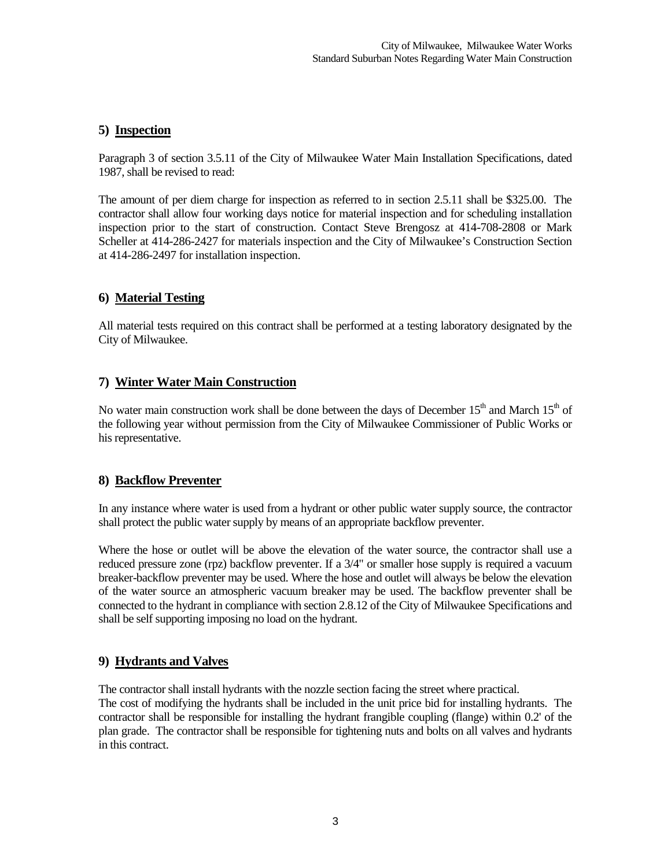# **5) Inspection**

Paragraph 3 of section 3.5.11 of the City of Milwaukee Water Main Installation Specifications, dated 1987, shall be revised to read:

The amount of per diem charge for inspection as referred to in section 2.5.11 shall be \$325.00. The contractor shall allow four working days notice for material inspection and for scheduling installation inspection prior to the start of construction. Contact Steve Brengosz at 414-708-2808 or Mark Scheller at 414-286-2427 for materials inspection and the City of Milwaukee's Construction Section at 414-286-2497 for installation inspection.

# **6) Material Testing**

All material tests required on this contract shall be performed at a testing laboratory designated by the City of Milwaukee.

## **7) Winter Water Main Construction**

No water main construction work shall be done between the days of December  $15<sup>th</sup>$  and March  $15<sup>th</sup>$  of the following year without permission from the City of Milwaukee Commissioner of Public Works or his representative.

## **8) Backflow Preventer**

In any instance where water is used from a hydrant or other public water supply source, the contractor shall protect the public water supply by means of an appropriate backflow preventer.

Where the hose or outlet will be above the elevation of the water source, the contractor shall use a reduced pressure zone (rpz) backflow preventer. If a 3/4" or smaller hose supply is required a vacuum breaker-backflow preventer may be used. Where the hose and outlet will always be below the elevation of the water source an atmospheric vacuum breaker may be used. The backflow preventer shall be connected to the hydrant in compliance with section 2.8.12 of the City of Milwaukee Specifications and shall be self supporting imposing no load on the hydrant.

## **9) Hydrants and Valves**

The contractor shall install hydrants with the nozzle section facing the street where practical.

The cost of modifying the hydrants shall be included in the unit price bid for installing hydrants. The contractor shall be responsible for installing the hydrant frangible coupling (flange) within 0.2' of the plan grade. The contractor shall be responsible for tightening nuts and bolts on all valves and hydrants in this contract.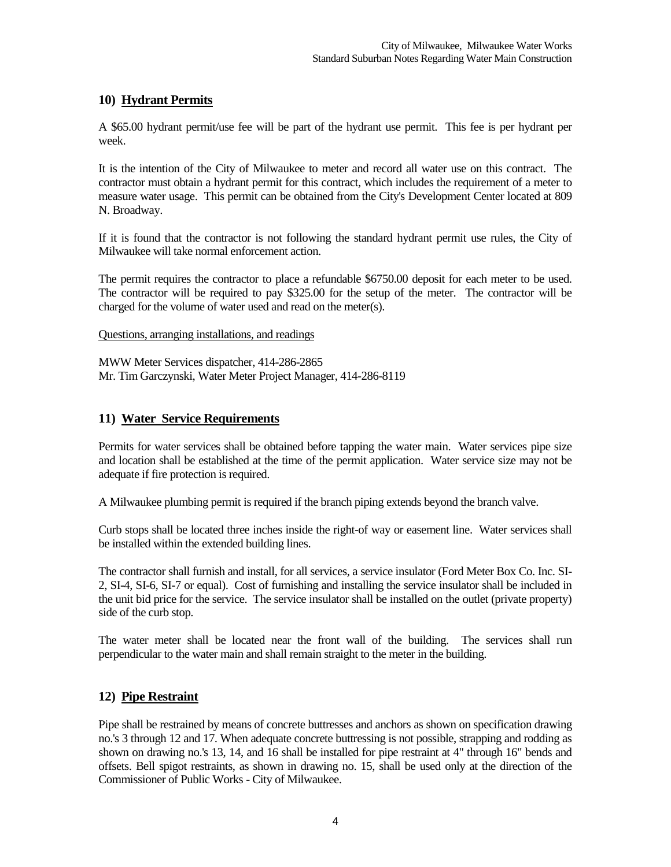## **10) Hydrant Permits**

A \$65.00 hydrant permit/use fee will be part of the hydrant use permit. This fee is per hydrant per week.

It is the intention of the City of Milwaukee to meter and record all water use on this contract. The contractor must obtain a hydrant permit for this contract, which includes the requirement of a meter to measure water usage. This permit can be obtained from the City's Development Center located at 809 N. Broadway.

If it is found that the contractor is not following the standard hydrant permit use rules, the City of Milwaukee will take normal enforcement action.

The permit requires the contractor to place a refundable \$6750.00 deposit for each meter to be used. The contractor will be required to pay \$325.00 for the setup of the meter. The contractor will be charged for the volume of water used and read on the meter(s).

Questions, arranging installations, and readings

MWW Meter Services dispatcher, 414-286-2865 Mr. Tim Garczynski, Water Meter Project Manager, 414-286-8119

# **11) Water Service Requirements**

Permits for water services shall be obtained before tapping the water main. Water services pipe size and location shall be established at the time of the permit application. Water service size may not be adequate if fire protection is required.

A Milwaukee plumbing permit is required if the branch piping extends beyond the branch valve.

Curb stops shall be located three inches inside the right-of way or easement line. Water services shall be installed within the extended building lines.

The contractor shall furnish and install, for all services, a service insulator (Ford Meter Box Co. Inc. SI-2, SI-4, SI-6, SI-7 or equal). Cost of furnishing and installing the service insulator shall be included in the unit bid price for the service. The service insulator shall be installed on the outlet (private property) side of the curb stop.

The water meter shall be located near the front wall of the building. The services shall run perpendicular to the water main and shall remain straight to the meter in the building.

## **12) Pipe Restraint**

Pipe shall be restrained by means of concrete buttresses and anchors as shown on specification drawing no.'s 3 through 12 and 17. When adequate concrete buttressing is not possible, strapping and rodding as shown on drawing no.'s 13, 14, and 16 shall be installed for pipe restraint at 4" through 16" bends and offsets. Bell spigot restraints, as shown in drawing no. 15, shall be used only at the direction of the Commissioner of Public Works - City of Milwaukee.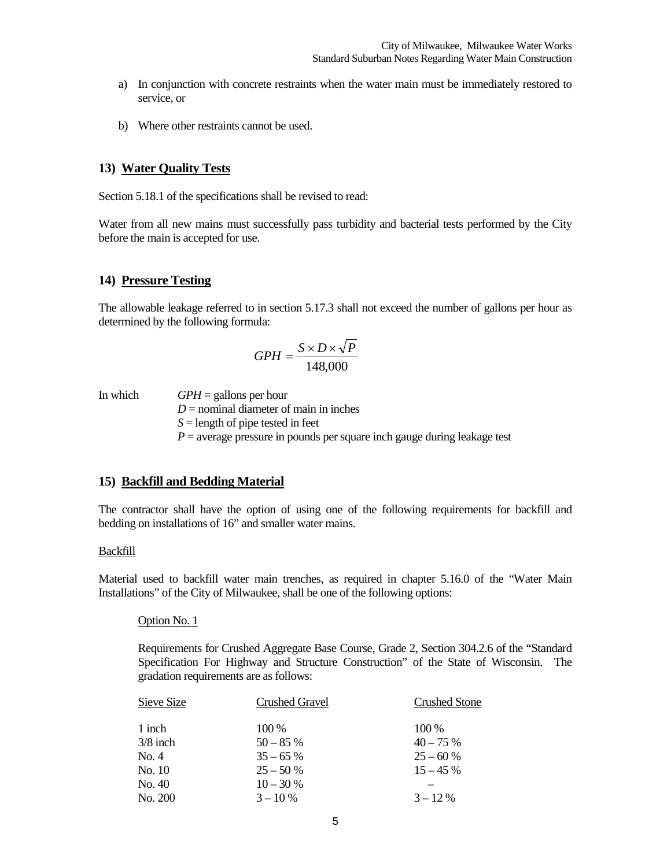- a) In conjunction with concrete restraints when the water main must be immediately restored to service, or
- b) Where other restraints cannot be used.

#### **13) Water Quality Tests**

Section 5.18.1 of the specifications shall be revised to read:

Water from all new mains must successfully pass turbidity and bacterial tests performed by the City before the main is accepted for use.

#### **14) Pressure Testing**

The allowable leakage referred to in section 5.17.3 shall not exceed the number of gallons per hour as determined by the following formula:

$$
GPH = \frac{S \times D \times \sqrt{P}}{148,000}
$$

In which *GPH* = gallons per hour

 $D =$  nominal diameter of main in inches

*S* = length of pipe tested in feet

 $P =$  average pressure in pounds per square inch gauge during leakage test

## **15) Backfill and Bedding Material**

The contractor shall have the option of using one of the following requirements for backfill and bedding on installations of 16" and smaller water mains.

#### Backfill

Material used to backfill water main trenches, as required in chapter 5.16.0 of the "Water Main Installations" of the City of Milwaukee, shall be one of the following options:

#### Option No. 1

Requirements for Crushed Aggregate Base Course, Grade 2, Section 304.2.6 of the "Standard Specification For Highway and Structure Construction" of the State of Wisconsin. The gradation requirements are as follows:

| Sieve Size | <b>Crushed Gravel</b> | <b>Crushed Stone</b> |
|------------|-----------------------|----------------------|
| 1 inch     | $100\%$               | 100 %                |
| 3/8 inch   | $50 - 85\%$           | $40 - 75\%$          |
| No. 4      | $35 - 65\%$           | $25 - 60%$           |
| No. 10     | $25 - 50%$            | $15 - 45\%$          |
| No. 40     | $10 - 30\%$           |                      |
| No. 200    | $3 - 10\%$            | $3 - 12\%$           |
|            |                       |                      |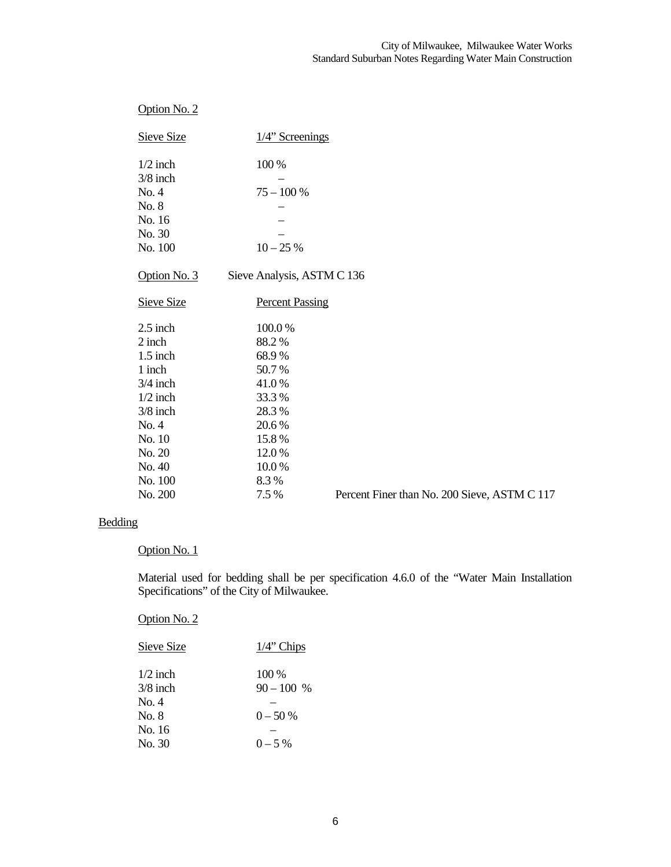| Option No. 2      |                            |                      |
|-------------------|----------------------------|----------------------|
| <b>Sieve Size</b> | $1/4$ " Screenings         |                      |
| $1/2$ inch        | 100 %                      |                      |
| $3/8$ inch        |                            |                      |
| No. 4             | $75 - 100 %$               |                      |
| No. 8             |                            |                      |
| No. 16            |                            |                      |
| No. 30            |                            |                      |
| No. 100           | $10 - 25%$                 |                      |
| Option No. 3      | Sieve Analysis, ASTM C 136 |                      |
| <b>Sieve Size</b> | <b>Percent Passing</b>     |                      |
| $2.5$ inch        | 100.0%                     |                      |
| 2 inch            | 88.2%                      |                      |
| $1.5$ inch        | 68.9%                      |                      |
| 1 inch            | 50.7%                      |                      |
| $3/4$ inch        | 41.0%                      |                      |
| $1/2$ inch        | 33.3%                      |                      |
| $3/8$ inch        | 28.3%                      |                      |
| No. 4             | 20.6%                      |                      |
| No. 10            | 15.8%                      |                      |
| No. 20            | 12.0%                      |                      |
| No. 40            | 10.0%                      |                      |
| No. 100           | 8.3%                       |                      |
| No. 200           | 7.5 %                      | <b>Percent Finer</b> |

than No. 200 Sieve, ASTM C 117

# Bedding

#### Option No. 1

Material used for bedding shall be per specification 4.6.0 of the "Water Main Installation Specifications" of the City of Milwaukee.

Option No. 2

| Sieve Size | $1/4$ " Chips |
|------------|---------------|
| $1/2$ inch | 100 %         |
| $3/8$ inch | $90 - 100 %$  |
| No. 4      |               |
| No. 8      | $0 - 50\%$    |
| No. 16     |               |
| No. 30     | $0 - 5\%$     |
|            |               |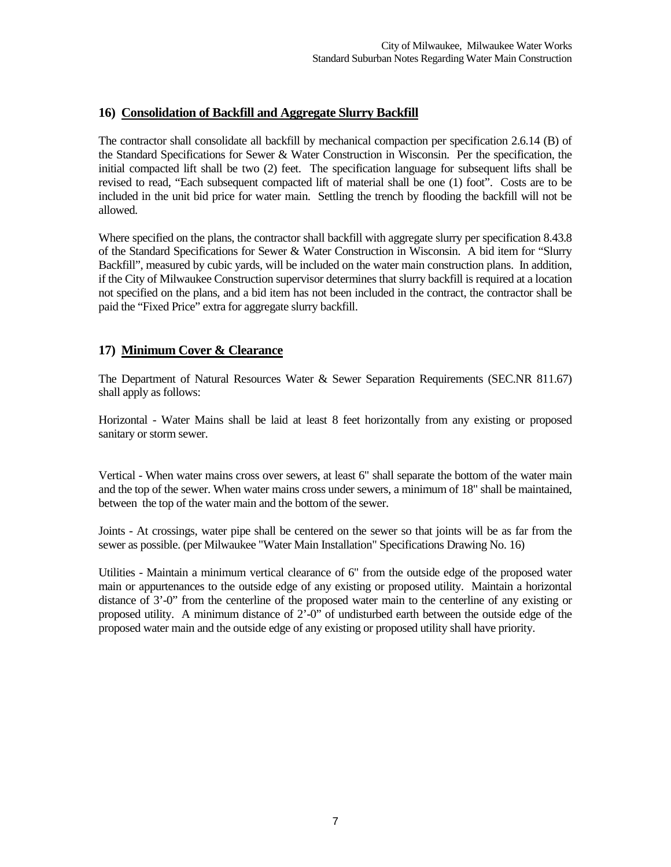# **16) Consolidation of Backfill and Aggregate Slurry Backfill**

The contractor shall consolidate all backfill by mechanical compaction per specification 2.6.14 (B) of the Standard Specifications for Sewer & Water Construction in Wisconsin. Per the specification, the initial compacted lift shall be two (2) feet. The specification language for subsequent lifts shall be revised to read, "Each subsequent compacted lift of material shall be one (1) foot". Costs are to be included in the unit bid price for water main. Settling the trench by flooding the backfill will not be allowed.

Where specified on the plans, the contractor shall backfill with aggregate slurry per specification 8.43.8 of the Standard Specifications for Sewer & Water Construction in Wisconsin. A bid item for "Slurry Backfill", measured by cubic yards, will be included on the water main construction plans. In addition, if the City of Milwaukee Construction supervisor determines that slurry backfill is required at a location not specified on the plans, and a bid item has not been included in the contract, the contractor shall be paid the "Fixed Price" extra for aggregate slurry backfill.

## **17) Minimum Cover & Clearance**

The Department of Natural Resources Water & Sewer Separation Requirements (SEC.NR 811.67) shall apply as follows:

Horizontal - Water Mains shall be laid at least 8 feet horizontally from any existing or proposed sanitary or storm sewer.

Vertical - When water mains cross over sewers, at least 6" shall separate the bottom of the water main and the top of the sewer. When water mains cross under sewers, a minimum of 18" shall be maintained, between the top of the water main and the bottom of the sewer.

Joints - At crossings, water pipe shall be centered on the sewer so that joints will be as far from the sewer as possible. (per Milwaukee "Water Main Installation" Specifications Drawing No. 16)

Utilities - Maintain a minimum vertical clearance of 6" from the outside edge of the proposed water main or appurtenances to the outside edge of any existing or proposed utility. Maintain a horizontal distance of 3'-0" from the centerline of the proposed water main to the centerline of any existing or proposed utility. A minimum distance of 2'-0" of undisturbed earth between the outside edge of the proposed water main and the outside edge of any existing or proposed utility shall have priority.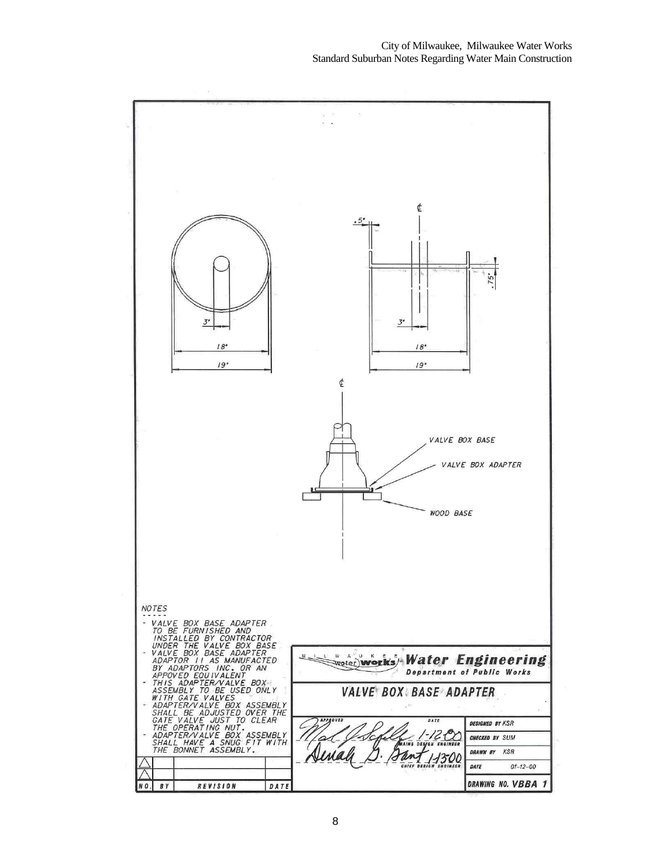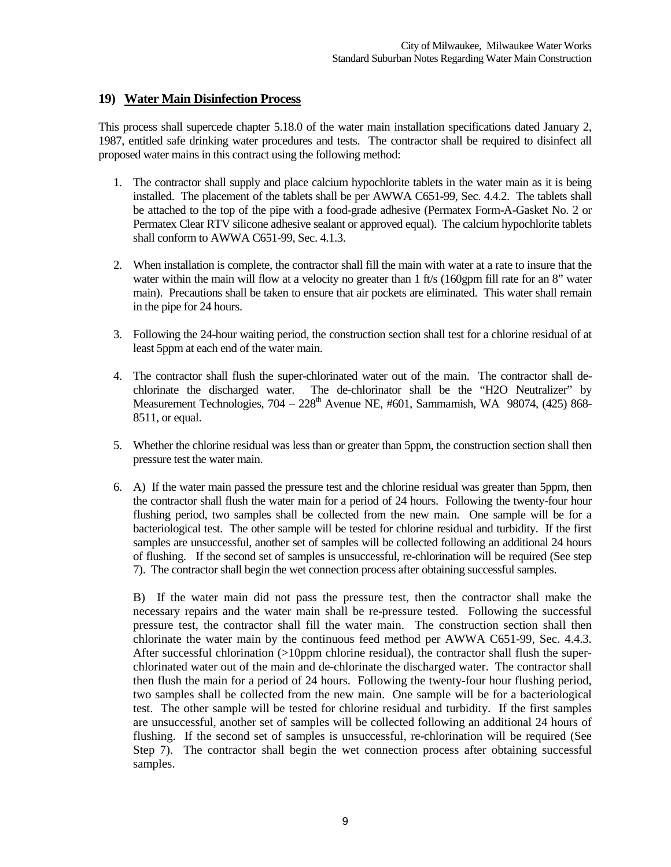# **19) Water Main Disinfection Process**

This process shall supercede chapter 5.18.0 of the water main installation specifications dated January 2, 1987, entitled safe drinking water procedures and tests. The contractor shall be required to disinfect all proposed water mains in this contract using the following method:

- 1. The contractor shall supply and place calcium hypochlorite tablets in the water main as it is being installed. The placement of the tablets shall be per AWWA C651-99, Sec. 4.4.2. The tablets shall be attached to the top of the pipe with a food-grade adhesive (Permatex Form-A-Gasket No. 2 or Permatex Clear RTV silicone adhesive sealant or approved equal). The calcium hypochlorite tablets shall conform to AWWA C651-99, Sec. 4.1.3.
- 2. When installation is complete, the contractor shall fill the main with water at a rate to insure that the water within the main will flow at a velocity no greater than 1 ft/s (160gpm fill rate for an 8" water main). Precautions shall be taken to ensure that air pockets are eliminated. This water shall remain in the pipe for 24 hours.
- 3. Following the 24-hour waiting period, the construction section shall test for a chlorine residual of at least 5ppm at each end of the water main.
- 4. The contractor shall flush the super-chlorinated water out of the main. The contractor shall dechlorinate the discharged water. The de-chlorinator shall be the "H2O Neutralizer" by Measurement Technologies,  $704 - 228<sup>th</sup>$  Avenue NE, #601, Sammamish, WA 98074, (425) 868-8511, or equal.
- 5. Whether the chlorine residual was less than or greater than 5ppm, the construction section shall then pressure test the water main.
- 6. A) If the water main passed the pressure test and the chlorine residual was greater than 5ppm, then the contractor shall flush the water main for a period of 24 hours. Following the twenty-four hour flushing period, two samples shall be collected from the new main. One sample will be for a bacteriological test. The other sample will be tested for chlorine residual and turbidity. If the first samples are unsuccessful, another set of samples will be collected following an additional 24 hours of flushing. If the second set of samples is unsuccessful, re-chlorination will be required (See step 7). The contractor shall begin the wet connection process after obtaining successful samples.

 B) If the water main did not pass the pressure test, then the contractor shall make the necessary repairs and the water main shall be re-pressure tested. Following the successful pressure test, the contractor shall fill the water main. The construction section shall then chlorinate the water main by the continuous feed method per AWWA C651-99, Sec. 4.4.3. After successful chlorination  $(>10$ ppm chlorine residual), the contractor shall flush the superchlorinated water out of the main and de-chlorinate the discharged water. The contractor shall then flush the main for a period of 24 hours. Following the twenty-four hour flushing period, two samples shall be collected from the new main. One sample will be for a bacteriological test. The other sample will be tested for chlorine residual and turbidity. If the first samples are unsuccessful, another set of samples will be collected following an additional 24 hours of flushing. If the second set of samples is unsuccessful, re-chlorination will be required (See Step 7). The contractor shall begin the wet connection process after obtaining successful samples.